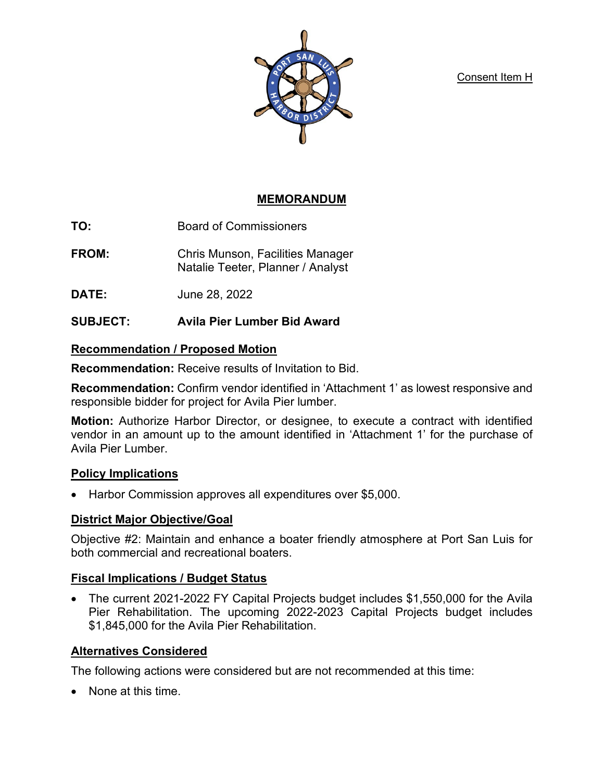Consent Item H



## **MEMORANDUM**

**TO:** Board of Commissioners

- **FROM:** Chris Munson, Facilities Manager Natalie Teeter, Planner / Analyst
- **DATE:** June 28, 2022

## **SUBJECT: Avila Pier Lumber Bid Award**

## **Recommendation / Proposed Motion**

**Recommendation:** Receive results of Invitation to Bid.

**Recommendation:** Confirm vendor identified in 'Attachment 1' as lowest responsive and responsible bidder for project for Avila Pier lumber.

**Motion:** Authorize Harbor Director, or designee, to execute a contract with identified vendor in an amount up to the amount identified in 'Attachment 1' for the purchase of Avila Pier Lumber.

## **Policy Implications**

• Harbor Commission approves all expenditures over \$5,000.

## **District Major Objective/Goal**

Objective #2: Maintain and enhance a boater friendly atmosphere at Port San Luis for both commercial and recreational boaters.

## **Fiscal Implications / Budget Status**

• The current 2021-2022 FY Capital Projects budget includes \$1,550,000 for the Avila Pier Rehabilitation. The upcoming 2022-2023 Capital Projects budget includes \$1,845,000 for the Avila Pier Rehabilitation.

## **Alternatives Considered**

The following actions were considered but are not recommended at this time:

• None at this time.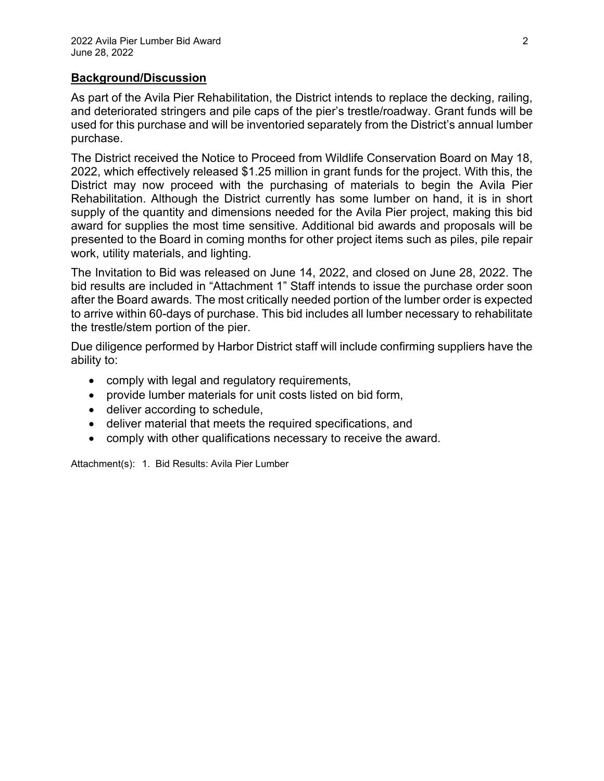#### **Background/Discussion**

As part of the Avila Pier Rehabilitation, the District intends to replace the decking, railing, and deteriorated stringers and pile caps of the pier's trestle/roadway. Grant funds will be used for this purchase and will be inventoried separately from the District's annual lumber purchase.

The District received the Notice to Proceed from Wildlife Conservation Board on May 18, 2022, which effectively released \$1.25 million in grant funds for the project. With this, the District may now proceed with the purchasing of materials to begin the Avila Pier Rehabilitation. Although the District currently has some lumber on hand, it is in short supply of the quantity and dimensions needed for the Avila Pier project, making this bid award for supplies the most time sensitive. Additional bid awards and proposals will be presented to the Board in coming months for other project items such as piles, pile repair work, utility materials, and lighting.

The Invitation to Bid was released on June 14, 2022, and closed on June 28, 2022. The bid results are included in "Attachment 1" Staff intends to issue the purchase order soon after the Board awards. The most critically needed portion of the lumber order is expected to arrive within 60-days of purchase. This bid includes all lumber necessary to rehabilitate the trestle/stem portion of the pier.

Due diligence performed by Harbor District staff will include confirming suppliers have the ability to:

- comply with legal and regulatory requirements,
- provide lumber materials for unit costs listed on bid form,
- deliver according to schedule,
- deliver material that meets the required specifications, and
- comply with other qualifications necessary to receive the award.

Attachment(s): 1. Bid Results: Avila Pier Lumber